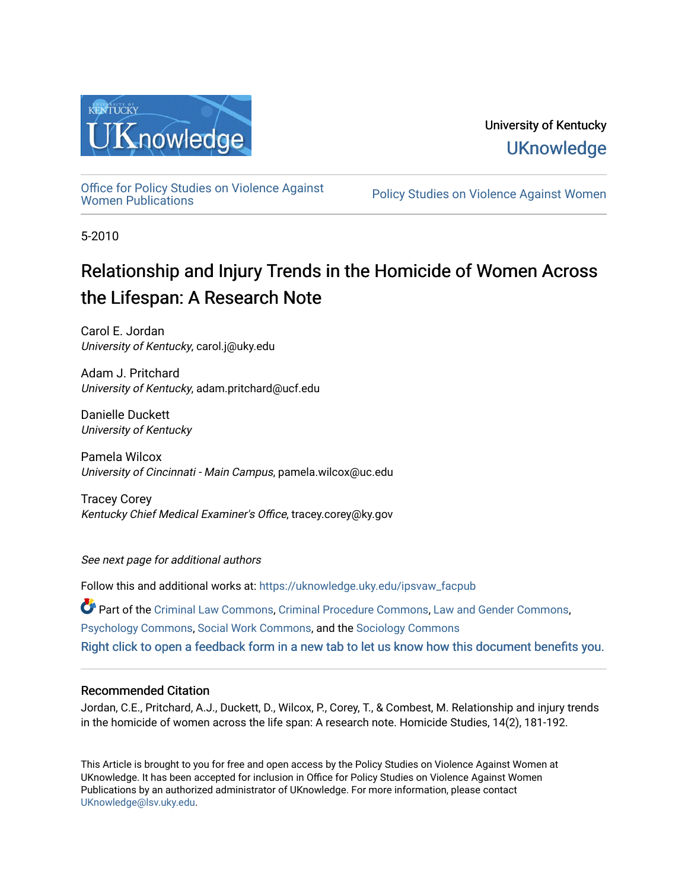

## University of Kentucky **UKnowledge**

[Office for Policy Studies on Violence Against](https://uknowledge.uky.edu/ipsvaw_facpub)

Policy Studies on Violence Against Women

5-2010

# Relationship and Injury Trends in the Homicide of Women Across the Lifespan: A Research Note

Carol E. Jordan University of Kentucky, carol.j@uky.edu

Adam J. Pritchard University of Kentucky, adam.pritchard@ucf.edu

Danielle Duckett University of Kentucky

Pamela Wilcox University of Cincinnati - Main Campus, pamela.wilcox@uc.edu

Tracey Corey Kentucky Chief Medical Examiner's Office, tracey.corey@ky.gov

See next page for additional authors

Follow this and additional works at: [https://uknowledge.uky.edu/ipsvaw\\_facpub](https://uknowledge.uky.edu/ipsvaw_facpub?utm_source=uknowledge.uky.edu%2Fipsvaw_facpub%2F2&utm_medium=PDF&utm_campaign=PDFCoverPages) 

Part of the [Criminal Law Commons,](http://network.bepress.com/hgg/discipline/912?utm_source=uknowledge.uky.edu%2Fipsvaw_facpub%2F2&utm_medium=PDF&utm_campaign=PDFCoverPages) [Criminal Procedure Commons,](http://network.bepress.com/hgg/discipline/1073?utm_source=uknowledge.uky.edu%2Fipsvaw_facpub%2F2&utm_medium=PDF&utm_campaign=PDFCoverPages) [Law and Gender Commons](http://network.bepress.com/hgg/discipline/1298?utm_source=uknowledge.uky.edu%2Fipsvaw_facpub%2F2&utm_medium=PDF&utm_campaign=PDFCoverPages), [Psychology Commons,](http://network.bepress.com/hgg/discipline/404?utm_source=uknowledge.uky.edu%2Fipsvaw_facpub%2F2&utm_medium=PDF&utm_campaign=PDFCoverPages) [Social Work Commons](http://network.bepress.com/hgg/discipline/713?utm_source=uknowledge.uky.edu%2Fipsvaw_facpub%2F2&utm_medium=PDF&utm_campaign=PDFCoverPages), and the [Sociology Commons](http://network.bepress.com/hgg/discipline/416?utm_source=uknowledge.uky.edu%2Fipsvaw_facpub%2F2&utm_medium=PDF&utm_campaign=PDFCoverPages) [Right click to open a feedback form in a new tab to let us know how this document benefits you.](https://uky.az1.qualtrics.com/jfe/form/SV_9mq8fx2GnONRfz7)

### Recommended Citation

Jordan, C.E., Pritchard, A.J., Duckett, D., Wilcox, P., Corey, T., & Combest, M. Relationship and injury trends in the homicide of women across the life span: A research note. Homicide Studies, 14(2), 181-192.

This Article is brought to you for free and open access by the Policy Studies on Violence Against Women at UKnowledge. It has been accepted for inclusion in Office for Policy Studies on Violence Against Women Publications by an authorized administrator of UKnowledge. For more information, please contact [UKnowledge@lsv.uky.edu.](mailto:UKnowledge@lsv.uky.edu)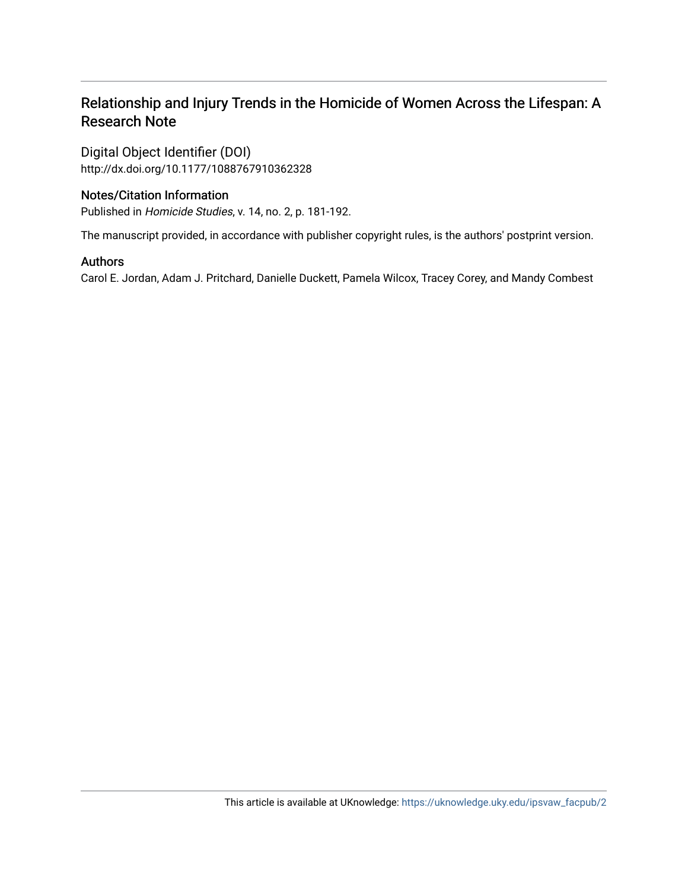## Relationship and Injury Trends in the Homicide of Women Across the Lifespan: A Research Note

Digital Object Identifier (DOI) http://dx.doi.org/10.1177/1088767910362328

## Notes/Citation Information

Published in Homicide Studies, v. 14, no. 2, p. 181-192.

The manuscript provided, in accordance with publisher copyright rules, is the authors' postprint version.

### Authors

Carol E. Jordan, Adam J. Pritchard, Danielle Duckett, Pamela Wilcox, Tracey Corey, and Mandy Combest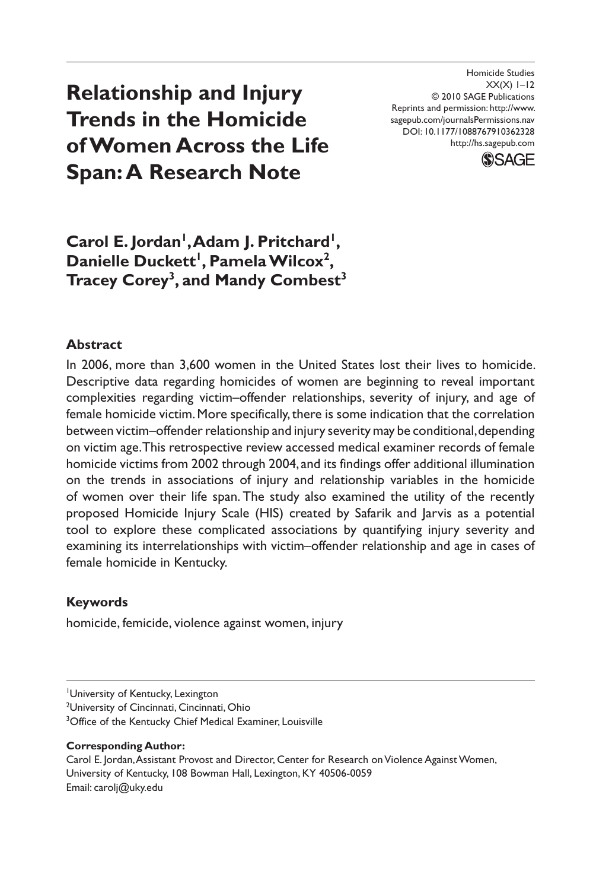## **Relationship and Injury Trends in the Homicide of Women Across the Life Span: A Research Note**

Homicide Studies  $XX(X)$  1–12 © 2010 SAGE Publications Reprints and permission: http://www. sagepub.com/journalsPermissions.nav DOI: 10.1177/1088767910362328 http://hs.sagepub.com



Carol E. Jordan<sup>1</sup>, Adam J. Pritchard<sup>1</sup>, Danielle Duckett<sup>1</sup>, Pamela Wilcox<sup>2</sup>, **Tracey Corey3 , and Mandy Combest3**

#### **Abstract**

In 2006, more than 3,600 women in the United States lost their lives to homicide. Descriptive data regarding homicides of women are beginning to reveal important complexities regarding victim–offender relationships, severity of injury, and age of female homicide victim. More specifically, there is some indication that the correlation between victim–offender relationship and injury severity may be conditional, depending on victim age. This retrospective review accessed medical examiner records of female homicide victims from 2002 through 2004, and its findings offer additional illumination on the trends in associations of injury and relationship variables in the homicide of women over their life span. The study also examined the utility of the recently proposed Homicide Injury Scale (HIS) created by Safarik and Jarvis as a potential tool to explore these complicated associations by quantifying injury severity and examining its interrelationships with victim–offender relationship and age in cases of female homicide in Kentucky.

#### **Keywords**

homicide, femicide, violence against women, injury

<sup>2</sup>University of Cincinnati, Cincinnati, Ohio

<sup>3</sup>Office of the Kentucky Chief Medical Examiner, Louisville

#### **Corresponding Author:**

Carol E. Jordan, Assistant Provost and Director, Center for Research on Violence Against Women, University of Kentucky, 108 Bowman Hall, Lexington, KY 40506-0059 Email: carolj@uky.edu

<sup>1</sup> University of Kentucky, Lexington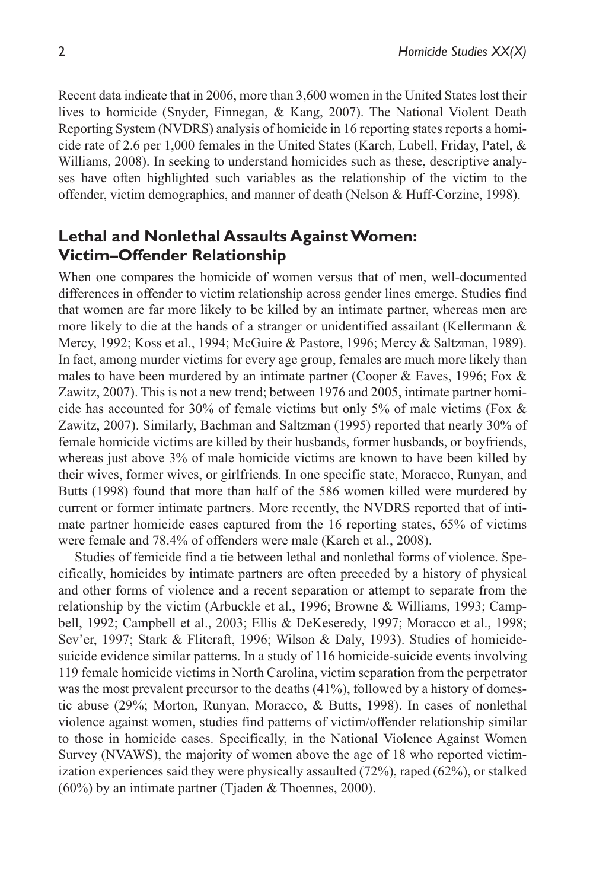Recent data indicate that in 2006, more than 3,600 women in the United States lost their lives to homicide (Snyder, Finnegan, & Kang, 2007). The National Violent Death Reporting System (NVDRS) analysis of homicide in 16 reporting states reports a homicide rate of 2.6 per 1,000 females in the United States (Karch, Lubell, Friday, Patel, & Williams, 2008). In seeking to understand homicides such as these, descriptive analyses have often highlighted such variables as the relationship of the victim to the offender, victim demographics, and manner of death (Nelson & Huff-Corzine, 1998).

## **Lethal and Nonlethal Assaults Against Women: Victim–Offender Relationship**

When one compares the homicide of women versus that of men, well-documented differences in offender to victim relationship across gender lines emerge. Studies find that women are far more likely to be killed by an intimate partner, whereas men are more likely to die at the hands of a stranger or unidentified assailant (Kellermann & Mercy, 1992; Koss et al., 1994; McGuire & Pastore, 1996; Mercy & Saltzman, 1989). In fact, among murder victims for every age group, females are much more likely than males to have been murdered by an intimate partner (Cooper & Eaves, 1996; Fox & Zawitz, 2007). This is not a new trend; between 1976 and 2005, intimate partner homicide has accounted for 30% of female victims but only 5% of male victims (Fox & Zawitz, 2007). Similarly, Bachman and Saltzman (1995) reported that nearly 30% of female homicide victims are killed by their husbands, former husbands, or boyfriends, whereas just above 3% of male homicide victims are known to have been killed by their wives, former wives, or girlfriends. In one specific state, Moracco, Runyan, and Butts (1998) found that more than half of the 586 women killed were murdered by current or former intimate partners. More recently, the NVDRS reported that of intimate partner homicide cases captured from the 16 reporting states, 65% of victims were female and 78.4% of offenders were male (Karch et al., 2008).

Studies of femicide find a tie between lethal and nonlethal forms of violence. Specifically, homicides by intimate partners are often preceded by a history of physical and other forms of violence and a recent separation or attempt to separate from the relationship by the victim (Arbuckle et al., 1996; Browne & Williams, 1993; Campbell, 1992; Campbell et al., 2003; Ellis & DeKeseredy, 1997; Moracco et al., 1998; Sev'er, 1997; Stark & Flitcraft, 1996; Wilson & Daly, 1993). Studies of homicidesuicide evidence similar patterns. In a study of 116 homicide-suicide events involving 119 female homicide victims in North Carolina, victim separation from the perpetrator was the most prevalent precursor to the deaths (41%), followed by a history of domestic abuse (29%; Morton, Runyan, Moracco, & Butts, 1998). In cases of nonlethal violence against women, studies find patterns of victim/offender relationship similar to those in homicide cases. Specifically, in the National Violence Against Women Survey (NVAWS), the majority of women above the age of 18 who reported victimization experiences said they were physically assaulted (72%), raped (62%), or stalked (60%) by an intimate partner (Tjaden & Thoennes, 2000).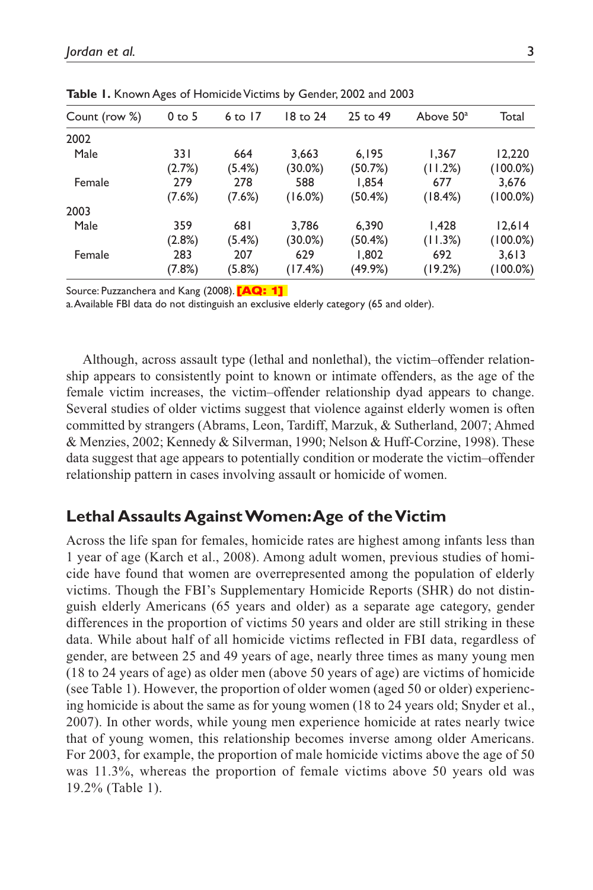| Count (row %) | $0$ to 5 | $6$ to $17$ | 18 to 24   | 25 to 49 | Above 50 <sup>a</sup> | Total       |
|---------------|----------|-------------|------------|----------|-----------------------|-------------|
| 2002          |          |             |            |          |                       |             |
| Male          | 33 I     | 664         | 3,663      | 6,195    | 1,367                 | 12,220      |
|               | (2.7%)   | (5.4%)      | $(30.0\%)$ | (50.7%)  | (11.2%)               | $(100.0\%)$ |
| Female        | 279      | 278         | 588        | 1,854    | 677                   | 3,676       |
|               | (7.6%)   | (7.6%)      | (16.0%)    | (50.4%)  | (18.4%)               | $(100.0\%)$ |
| 2003          |          |             |            |          |                       |             |
| Male          | 359      | 681         | 3,786      | 6,390    | 1,428                 | 12,614      |
|               | (2.8%)   | (5.4%)      | $(30.0\%)$ | (50.4%)  | (11.3%)               | $(100.0\%)$ |
| Female        | 283      | 207         | 629        | 1,802    | 692                   | 3,613       |
|               | (7.8%)   | (5.8%)      | (17.4%)    | (49.9%)  | (19.2%)               | $(100.0\%)$ |

**Table 1.** Known Ages of Homicide Victims by Gender, 2002 and 2003

Source: Puzzanchera and Kang (2008). **[AQ: 1]** 

a. Available FBI data do not distinguish an exclusive elderly category (65 and older).

Although, across assault type (lethal and nonlethal), the victim–offender relationship appears to consistently point to known or intimate offenders, as the age of the female victim increases, the victim–offender relationship dyad appears to change. Several studies of older victims suggest that violence against elderly women is often committed by strangers (Abrams, Leon, Tardiff, Marzuk, & Sutherland, 2007; Ahmed & Menzies, 2002; Kennedy & Silverman, 1990; Nelson & Huff-Corzine, 1998). These data suggest that age appears to potentially condition or moderate the victim–offender relationship pattern in cases involving assault or homicide of women.

#### **Lethal Assaults Against Women: Age of the Victim**

Across the life span for females, homicide rates are highest among infants less than 1 year of age (Karch et al., 2008). Among adult women, previous studies of homicide have found that women are overrepresented among the population of elderly victims. Though the FBI's Supplementary Homicide Reports (SHR) do not distinguish elderly Americans (65 years and older) as a separate age category, gender differences in the proportion of victims 50 years and older are still striking in these data. While about half of all homicide victims reflected in FBI data, regardless of gender, are between 25 and 49 years of age, nearly three times as many young men (18 to 24 years of age) as older men (above 50 years of age) are victims of homicide (see Table 1). However, the proportion of older women (aged 50 or older) experiencing homicide is about the same as for young women (18 to 24 years old; Snyder et al., 2007). In other words, while young men experience homicide at rates nearly twice that of young women, this relationship becomes inverse among older Americans. For 2003, for example, the proportion of male homicide victims above the age of 50 was 11.3%, whereas the proportion of female victims above 50 years old was 19.2% (Table 1).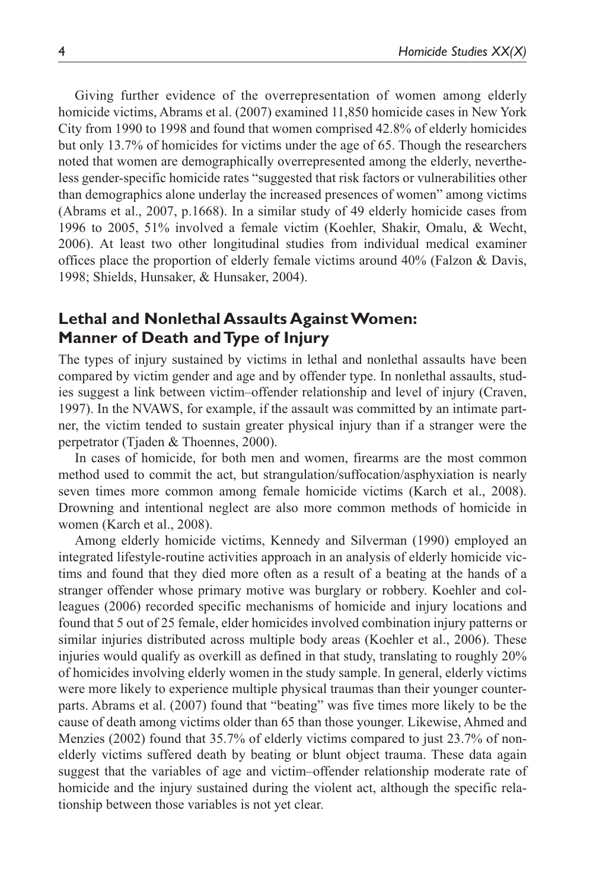Giving further evidence of the overrepresentation of women among elderly homicide victims, Abrams et al. (2007) examined 11,850 homicide cases in New York City from 1990 to 1998 and found that women comprised 42.8% of elderly homicides but only 13.7% of homicides for victims under the age of 65. Though the researchers noted that women are demographically overrepresented among the elderly, nevertheless gender-specific homicide rates "suggested that risk factors or vulnerabilities other than demographics alone underlay the increased presences of women" among victims (Abrams et al., 2007, p.1668). In a similar study of 49 elderly homicide cases from 1996 to 2005, 51% involved a female victim (Koehler, Shakir, Omalu, & Wecht, 2006). At least two other longitudinal studies from individual medical examiner offices place the proportion of elderly female victims around  $40\%$  (Falzon & Davis, 1998; Shields, Hunsaker, & Hunsaker, 2004).

## **Lethal and Nonlethal Assaults Against Women: Manner of Death and Type of Injury**

The types of injury sustained by victims in lethal and nonlethal assaults have been compared by victim gender and age and by offender type. In nonlethal assaults, studies suggest a link between victim–offender relationship and level of injury (Craven, 1997). In the NVAWS, for example, if the assault was committed by an intimate partner, the victim tended to sustain greater physical injury than if a stranger were the perpetrator (Tjaden & Thoennes, 2000).

In cases of homicide, for both men and women, firearms are the most common method used to commit the act, but strangulation/suffocation/asphyxiation is nearly seven times more common among female homicide victims (Karch et al., 2008). Drowning and intentional neglect are also more common methods of homicide in women (Karch et al., 2008).

Among elderly homicide victims, Kennedy and Silverman (1990) employed an integrated lifestyle-routine activities approach in an analysis of elderly homicide victims and found that they died more often as a result of a beating at the hands of a stranger offender whose primary motive was burglary or robbery. Koehler and colleagues (2006) recorded specific mechanisms of homicide and injury locations and found that 5 out of 25 female, elder homicides involved combination injury patterns or similar injuries distributed across multiple body areas (Koehler et al., 2006). These injuries would qualify as overkill as defined in that study, translating to roughly 20% of homicides involving elderly women in the study sample. In general, elderly victims were more likely to experience multiple physical traumas than their younger counterparts. Abrams et al. (2007) found that "beating" was five times more likely to be the cause of death among victims older than 65 than those younger. Likewise, Ahmed and Menzies (2002) found that 35.7% of elderly victims compared to just 23.7% of nonelderly victims suffered death by beating or blunt object trauma. These data again suggest that the variables of age and victim–offender relationship moderate rate of homicide and the injury sustained during the violent act, although the specific relationship between those variables is not yet clear.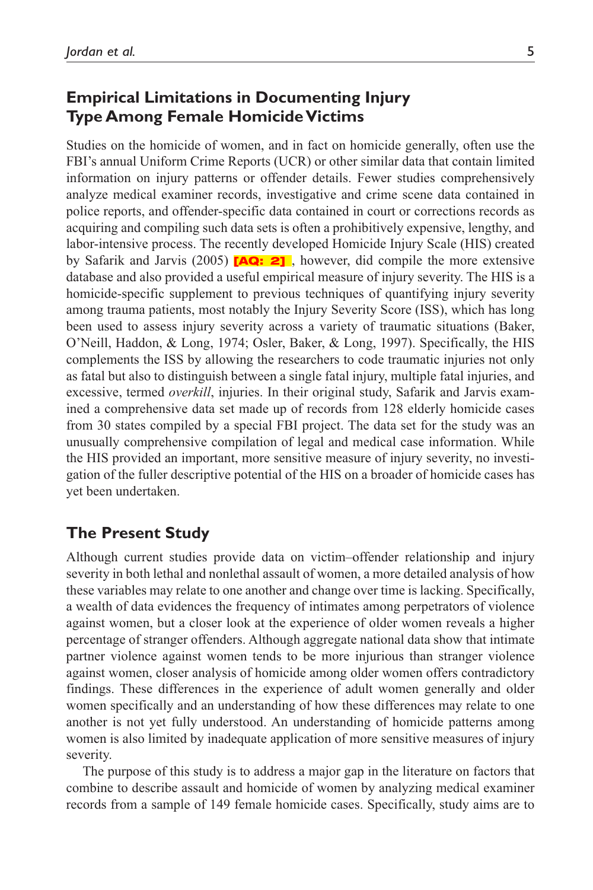## **Empirical Limitations in Documenting Injury Type Among Female Homicide Victims**

Studies on the homicide of women, and in fact on homicide generally, often use the FBI's annual Uniform Crime Reports (UCR) or other similar data that contain limited information on injury patterns or offender details. Fewer studies comprehensively analyze medical examiner records, investigative and crime scene data contained in police reports, and offender-specific data contained in court or corrections records as acquiring and compiling such data sets is often a prohibitively expensive, lengthy, and labor-intensive process. The recently developed Homicide Injury Scale (HIS) created by Safarik and Jarvis (2005)  $[AQ: 2]$ , however, did compile the more extensive database and also provided a useful empirical measure of injury severity. The HIS is a homicide-specific supplement to previous techniques of quantifying injury severity among trauma patients, most notably the Injury Severity Score (ISS), which has long been used to assess injury severity across a variety of traumatic situations (Baker, O'Neill, Haddon, & Long, 1974; Osler, Baker, & Long, 1997). Specifically, the HIS complements the ISS by allowing the researchers to code traumatic injuries not only as fatal but also to distinguish between a single fatal injury, multiple fatal injuries, and excessive, termed *overkill*, injuries. In their original study, Safarik and Jarvis examined a comprehensive data set made up of records from 128 elderly homicide cases from 30 states compiled by a special FBI project. The data set for the study was an unusually comprehensive compilation of legal and medical case information. While the HIS provided an important, more sensitive measure of injury severity, no investigation of the fuller descriptive potential of the HIS on a broader of homicide cases has yet been undertaken.

### **The Present Study**

Although current studies provide data on victim–offender relationship and injury severity in both lethal and nonlethal assault of women, a more detailed analysis of how these variables may relate to one another and change over time is lacking. Specifically, a wealth of data evidences the frequency of intimates among perpetrators of violence against women, but a closer look at the experience of older women reveals a higher percentage of stranger offenders. Although aggregate national data show that intimate partner violence against women tends to be more injurious than stranger violence against women, closer analysis of homicide among older women offers contradictory findings. These differences in the experience of adult women generally and older women specifically and an understanding of how these differences may relate to one another is not yet fully understood. An understanding of homicide patterns among women is also limited by inadequate application of more sensitive measures of injury severity.

The purpose of this study is to address a major gap in the literature on factors that combine to describe assault and homicide of women by analyzing medical examiner records from a sample of 149 female homicide cases. Specifically, study aims are to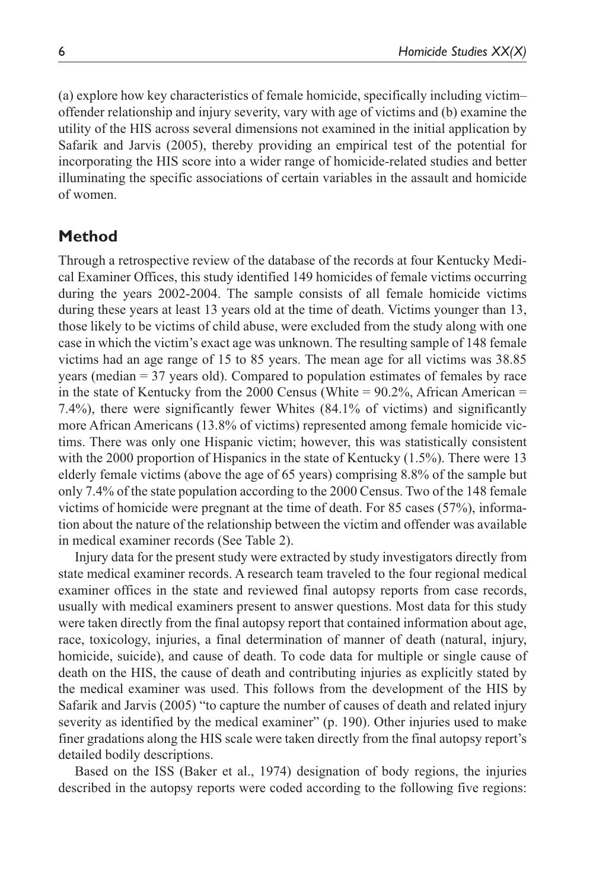(a) explore how key characteristics of female homicide, specifically including victim– offender relationship and injury severity, vary with age of victims and (b) examine the utility of the HIS across several dimensions not examined in the initial application by Safarik and Jarvis (2005), thereby providing an empirical test of the potential for incorporating the HIS score into a wider range of homicide-related studies and better illuminating the specific associations of certain variables in the assault and homicide of women.

## **Method**

Through a retrospective review of the database of the records at four Kentucky Medical Examiner Offices, this study identified 149 homicides of female victims occurring during the years 2002-2004. The sample consists of all female homicide victims during these years at least 13 years old at the time of death. Victims younger than 13, those likely to be victims of child abuse, were excluded from the study along with one case in which the victim's exact age was unknown. The resulting sample of 148 female victims had an age range of 15 to 85 years. The mean age for all victims was 38.85 years (median = 37 years old). Compared to population estimates of females by race in the state of Kentucky from the 2000 Census (White  $= 90.2\%$ , African American  $=$ 7.4%), there were significantly fewer Whites (84.1% of victims) and significantly more African Americans (13.8% of victims) represented among female homicide victims. There was only one Hispanic victim; however, this was statistically consistent with the 2000 proportion of Hispanics in the state of Kentucky (1.5%). There were 13 elderly female victims (above the age of 65 years) comprising 8.8% of the sample but only 7.4% of the state population according to the 2000 Census. Two of the 148 female victims of homicide were pregnant at the time of death. For 85 cases (57%), information about the nature of the relationship between the victim and offender was available in medical examiner records (See Table 2).

Injury data for the present study were extracted by study investigators directly from state medical examiner records. A research team traveled to the four regional medical examiner offices in the state and reviewed final autopsy reports from case records, usually with medical examiners present to answer questions. Most data for this study were taken directly from the final autopsy report that contained information about age, race, toxicology, injuries, a final determination of manner of death (natural, injury, homicide, suicide), and cause of death. To code data for multiple or single cause of death on the HIS, the cause of death and contributing injuries as explicitly stated by the medical examiner was used. This follows from the development of the HIS by Safarik and Jarvis (2005) "to capture the number of causes of death and related injury severity as identified by the medical examiner" (p. 190). Other injuries used to make finer gradations along the HIS scale were taken directly from the final autopsy report's detailed bodily descriptions.

Based on the ISS (Baker et al., 1974) designation of body regions, the injuries described in the autopsy reports were coded according to the following five regions: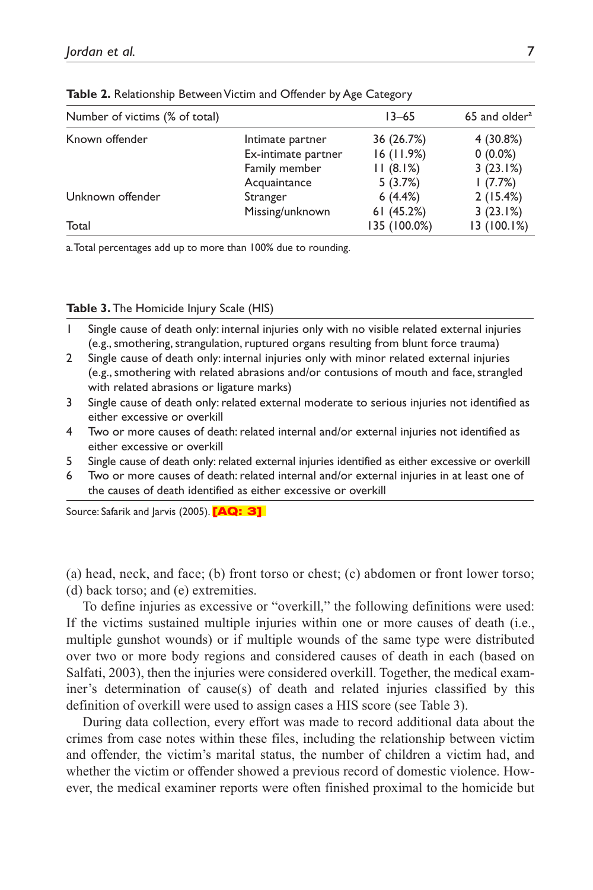| Number of victims (% of total) |                     | $13 - 65$    | 65 and older <sup>a</sup> |
|--------------------------------|---------------------|--------------|---------------------------|
| Known offender                 | Intimate partner    | 36 (26.7%)   | 4(30.8%)                  |
|                                | Ex-intimate partner | 16(11.9%)    | $0(0.0\%)$                |
|                                | Family member       | 11(8.1%)     | 3(23.1%)                  |
|                                | Acquaintance        | 5(3.7%)      | (7.7%)                    |
| Unknown offender               | Stranger            | 6(4.4%)      | 2(15.4%)                  |
|                                | Missing/unknown     | 61(45.2%)    | 3(23.1%)                  |
| Total                          |                     | 135 (100.0%) | 13(100.1%)                |

| Table 2. Relationship Between Victim and Offender by Age Category |  |  |  |
|-------------------------------------------------------------------|--|--|--|
|-------------------------------------------------------------------|--|--|--|

a. Total percentages add up to more than 100% due to rounding.

#### **Table 3.** The Homicide Injury Scale (HIS)

- 1 Single cause of death only: internal injuries only with no visible related external injuries (e.g., smothering, strangulation, ruptured organs resulting from blunt force trauma)
- 2 Single cause of death only: internal injuries only with minor related external injuries (e.g., smothering with related abrasions and/or contusions of mouth and face, strangled with related abrasions or ligature marks)
- 3 Single cause of death only: related external moderate to serious injuries not identified as either excessive or overkill
- 4 Two or more causes of death: related internal and/or external injuries not identified as either excessive or overkill
- 5 Single cause of death only: related external injuries identified as either excessive or overkill
- 6 Two or more causes of death: related internal and/or external injuries in at least one of the causes of death identified as either excessive or overkill

Source: Safarik and Jarvis (2005). [AQ: 3]

(a) head, neck, and face; (b) front torso or chest; (c) abdomen or front lower torso; (d) back torso; and (e) extremities.

To define injuries as excessive or "overkill," the following definitions were used: If the victims sustained multiple injuries within one or more causes of death (i.e., multiple gunshot wounds) or if multiple wounds of the same type were distributed over two or more body regions and considered causes of death in each (based on Salfati, 2003), then the injuries were considered overkill. Together, the medical examiner's determination of cause(s) of death and related injuries classified by this definition of overkill were used to assign cases a HIS score (see Table 3).

During data collection, every effort was made to record additional data about the crimes from case notes within these files, including the relationship between victim and offender, the victim's marital status, the number of children a victim had, and whether the victim or offender showed a previous record of domestic violence. However, the medical examiner reports were often finished proximal to the homicide but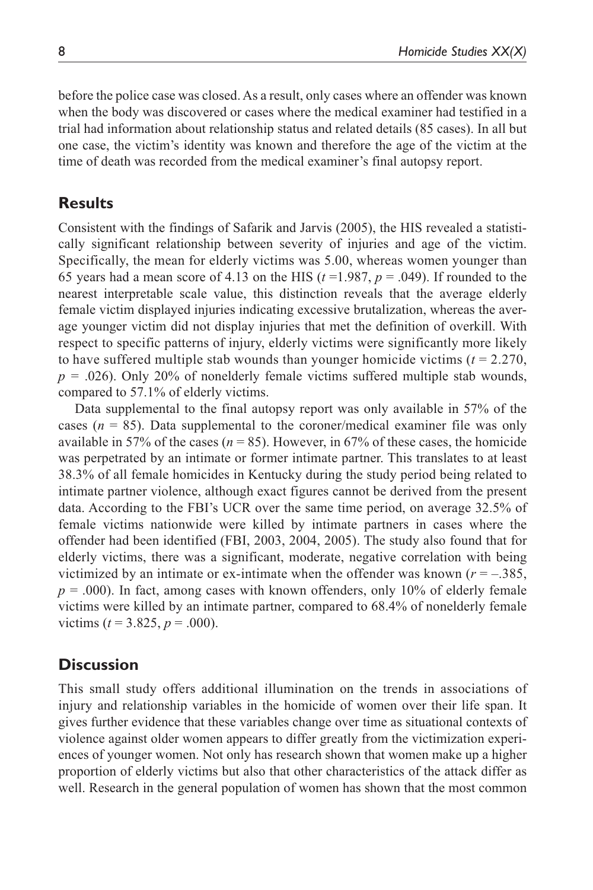before the police case was closed. As a result, only cases where an offender was known when the body was discovered or cases where the medical examiner had testified in a trial had information about relationship status and related details (85 cases). In all but one case, the victim's identity was known and therefore the age of the victim at the time of death was recorded from the medical examiner's final autopsy report.

#### **Results**

Consistent with the findings of Safarik and Jarvis (2005), the HIS revealed a statistically significant relationship between severity of injuries and age of the victim. Specifically, the mean for elderly victims was 5.00, whereas women younger than 65 years had a mean score of 4.13 on the HIS  $(t=1.987, p=.049)$ . If rounded to the nearest interpretable scale value, this distinction reveals that the average elderly female victim displayed injuries indicating excessive brutalization, whereas the average younger victim did not display injuries that met the definition of overkill. With respect to specific patterns of injury, elderly victims were significantly more likely to have suffered multiple stab wounds than younger homicide victims  $(t = 2.270$ ,  $p = .026$ ). Only 20% of nonelderly female victims suffered multiple stab wounds, compared to 57.1% of elderly victims.

Data supplemental to the final autopsy report was only available in 57% of the cases  $(n = 85)$ . Data supplemental to the coroner/medical examiner file was only available in 57% of the cases ( $n = 85$ ). However, in 67% of these cases, the homicide was perpetrated by an intimate or former intimate partner. This translates to at least 38.3% of all female homicides in Kentucky during the study period being related to intimate partner violence, although exact figures cannot be derived from the present data. According to the FBI's UCR over the same time period, on average 32.5% of female victims nationwide were killed by intimate partners in cases where the offender had been identified (FBI, 2003, 2004, 2005). The study also found that for elderly victims, there was a significant, moderate, negative correlation with being victimized by an intimate or ex-intimate when the offender was known  $(r = -.385)$ ,  $p = .000$ ). In fact, among cases with known offenders, only 10% of elderly female victims were killed by an intimate partner, compared to 68.4% of nonelderly female victims ( $t = 3.825$ ,  $p = .000$ ).

#### **Discussion**

This small study offers additional illumination on the trends in associations of injury and relationship variables in the homicide of women over their life span. It gives further evidence that these variables change over time as situational contexts of violence against older women appears to differ greatly from the victimization experiences of younger women. Not only has research shown that women make up a higher proportion of elderly victims but also that other characteristics of the attack differ as well. Research in the general population of women has shown that the most common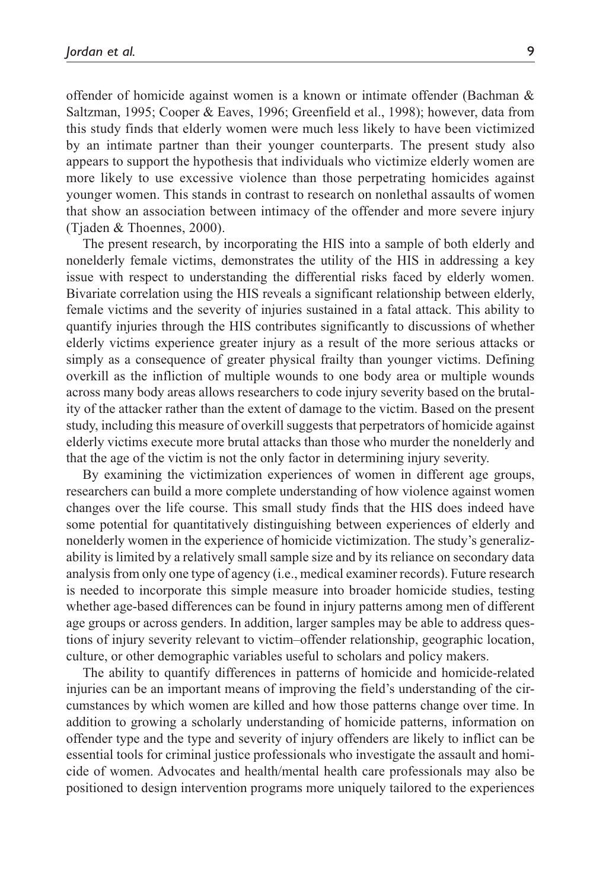offender of homicide against women is a known or intimate offender (Bachman & Saltzman, 1995; Cooper & Eaves, 1996; Greenfield et al., 1998); however, data from this study finds that elderly women were much less likely to have been victimized by an intimate partner than their younger counterparts. The present study also appears to support the hypothesis that individuals who victimize elderly women are more likely to use excessive violence than those perpetrating homicides against younger women. This stands in contrast to research on nonlethal assaults of women that show an association between intimacy of the offender and more severe injury (Tjaden & Thoennes, 2000).

The present research, by incorporating the HIS into a sample of both elderly and nonelderly female victims, demonstrates the utility of the HIS in addressing a key issue with respect to understanding the differential risks faced by elderly women. Bivariate correlation using the HIS reveals a significant relationship between elderly, female victims and the severity of injuries sustained in a fatal attack. This ability to quantify injuries through the HIS contributes significantly to discussions of whether elderly victims experience greater injury as a result of the more serious attacks or simply as a consequence of greater physical frailty than younger victims. Defining overkill as the infliction of multiple wounds to one body area or multiple wounds across many body areas allows researchers to code injury severity based on the brutality of the attacker rather than the extent of damage to the victim. Based on the present study, including this measure of overkill suggests that perpetrators of homicide against elderly victims execute more brutal attacks than those who murder the nonelderly and that the age of the victim is not the only factor in determining injury severity.

By examining the victimization experiences of women in different age groups, researchers can build a more complete understanding of how violence against women changes over the life course. This small study finds that the HIS does indeed have some potential for quantitatively distinguishing between experiences of elderly and nonelderly women in the experience of homicide victimization. The study's generalizability is limited by a relatively small sample size and by its reliance on secondary data analysis from only one type of agency (i.e., medical examiner records). Future research is needed to incorporate this simple measure into broader homicide studies, testing whether age-based differences can be found in injury patterns among men of different age groups or across genders. In addition, larger samples may be able to address questions of injury severity relevant to victim–offender relationship, geographic location, culture, or other demographic variables useful to scholars and policy makers.

The ability to quantify differences in patterns of homicide and homicide-related injuries can be an important means of improving the field's understanding of the circumstances by which women are killed and how those patterns change over time. In addition to growing a scholarly understanding of homicide patterns, information on offender type and the type and severity of injury offenders are likely to inflict can be essential tools for criminal justice professionals who investigate the assault and homicide of women. Advocates and health/mental health care professionals may also be positioned to design intervention programs more uniquely tailored to the experiences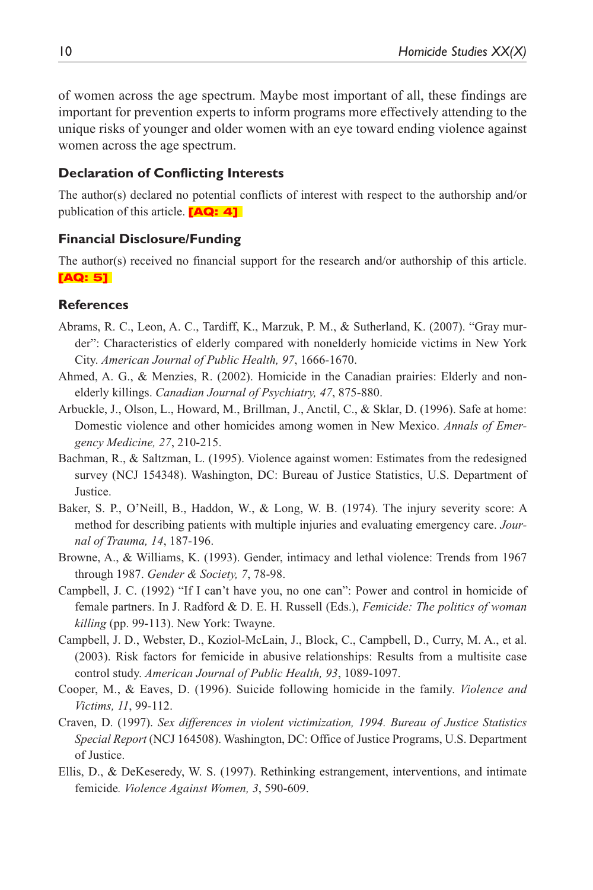of women across the age spectrum. Maybe most important of all, these findings are important for prevention experts to inform programs more effectively attending to the unique risks of younger and older women with an eye toward ending violence against women across the age spectrum.

#### **Declaration of Conflicting Interests**

The author(s) declared no potential conflicts of interest with respect to the authorship and/or publication of this article.  $\begin{bmatrix} A\end{bmatrix}$ 

#### **Financial Disclosure/Funding**

The author(s) received no financial support for the research and/or authorship of this article. [AQ: 5]

#### **References**

- Abrams, R. C., Leon, A. C., Tardiff, K., Marzuk, P. M., & Sutherland, K. (2007). "Gray murder": Characteristics of elderly compared with nonelderly homicide victims in New York City. *American Journal of Public Health, 97*, 1666-1670.
- Ahmed, A. G., & Menzies, R. (2002). Homicide in the Canadian prairies: Elderly and nonelderly killings. *Canadian Journal of Psychiatry, 47*, 875-880.
- Arbuckle, J., Olson, L., Howard, M., Brillman, J., Anctil, C., & Sklar, D. (1996). Safe at home: Domestic violence and other homicides among women in New Mexico. *Annals of Emergency Medicine, 27*, 210-215.
- Bachman, R., & Saltzman, L. (1995). Violence against women: Estimates from the redesigned survey (NCJ 154348). Washington, DC: Bureau of Justice Statistics, U.S. Department of Justice.
- Baker, S. P., O'Neill, B., Haddon, W., & Long, W. B. (1974). The injury severity score: A method for describing patients with multiple injuries and evaluating emergency care. *Journal of Trauma, 14*, 187-196.
- Browne, A., & Williams, K. (1993). Gender, intimacy and lethal violence: Trends from 1967 through 1987. *Gender & Society, 7*, 78-98.
- Campbell, J. C. (1992) "If I can't have you, no one can": Power and control in homicide of female partners. In J. Radford & D. E. H. Russell (Eds.), *Femicide: The politics of woman killing* (pp. 99-113). New York: Twayne.
- Campbell, J. D., Webster, D., Koziol-McLain, J., Block, C., Campbell, D., Curry, M. A., et al. (2003). Risk factors for femicide in abusive relationships: Results from a multisite case control study. *American Journal of Public Health, 93*, 1089-1097.
- Cooper, M., & Eaves, D. (1996). Suicide following homicide in the family. *Violence and Victims, 11*, 99-112.
- Craven, D. (1997). *Sex differences in violent victimization, 1994. Bureau of Justice Statistics Special Report* (NCJ 164508). Washington, DC: Office of Justice Programs, U.S. Department of Justice.
- Ellis, D., & DeKeseredy, W. S. (1997). Rethinking estrangement, interventions, and intimate femicide*. Violence Against Women, 3*, 590-609.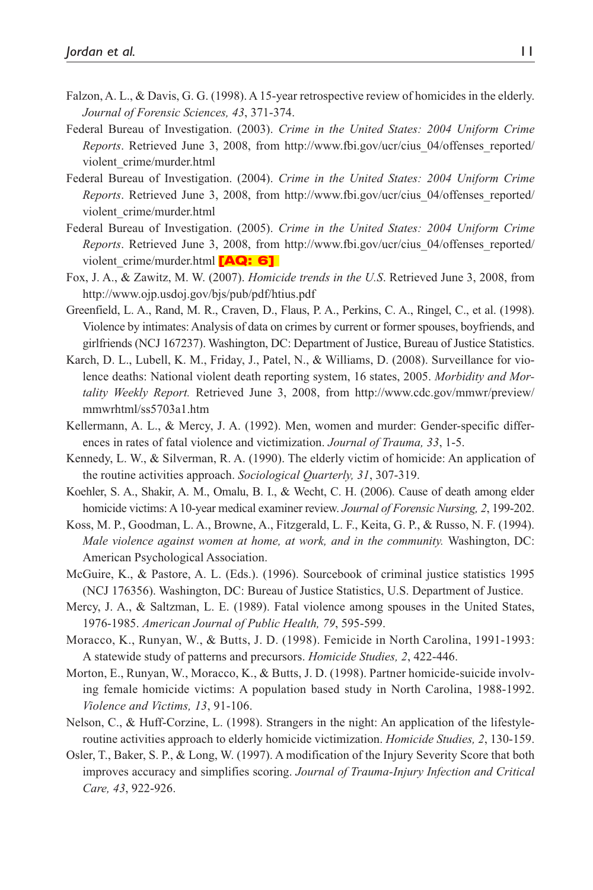- Falzon, A. L., & Davis, G. G. (1998). A 15-year retrospective review of homicides in the elderly. *Journal of Forensic Sciences, 43*, 371-374.
- Federal Bureau of Investigation. (2003). *Crime in the United States: 2004 Uniform Crime Reports*. Retrieved June 3, 2008, from http://www.fbi.gov/ucr/cius\_04/offenses\_reported/ violent\_crime/murder.html
- Federal Bureau of Investigation. (2004). *Crime in the United States: 2004 Uniform Crime Reports*. Retrieved June 3, 2008, from http://www.fbi.gov/ucr/cius\_04/offenses\_reported/ violent\_crime/murder.html
- Federal Bureau of Investigation. (2005). *Crime in the United States: 2004 Uniform Crime Reports*. Retrieved June 3, 2008, from http://www.fbi.gov/ucr/cius\_04/offenses\_reported/ violent crime/murder.html  $[AQ: 6]$
- Fox, J. A., & Zawitz, M. W. (2007). *Homicide trends in the U.S*. Retrieved June 3, 2008, from http://www.ojp.usdoj.gov/bjs/pub/pdf/htius.pdf
- Greenfield, L. A., Rand, M. R., Craven, D., Flaus, P. A., Perkins, C. A., Ringel, C., et al. (1998). Violence by intimates: Analysis of data on crimes by current or former spouses, boyfriends, and girlfriends (NCJ 167237). Washington, DC: Department of Justice, Bureau of Justice Statistics.
- Karch, D. L., Lubell, K. M., Friday, J., Patel, N., & Williams, D. (2008). Surveillance for violence deaths: National violent death reporting system, 16 states, 2005. *Morbidity and Mortality Weekly Report.* Retrieved June 3, 2008, from http://www.cdc.gov/mmwr/preview/ mmwrhtml/ss5703a1.htm
- Kellermann, A. L., & Mercy, J. A. (1992). Men, women and murder: Gender-specific differences in rates of fatal violence and victimization. *Journal of Trauma, 33*, 1-5.
- Kennedy, L. W., & Silverman, R. A. (1990). The elderly victim of homicide: An application of the routine activities approach. *Sociological Quarterly, 31*, 307-319.
- Koehler, S. A., Shakir, A. M., Omalu, B. I., & Wecht, C. H. (2006). Cause of death among elder homicide victims: A 10-year medical examiner review. *Journal of Forensic Nursing, 2*, 199-202.
- Koss, M. P., Goodman, L. A., Browne, A., Fitzgerald, L. F., Keita, G. P., & Russo, N. F. (1994). *Male violence against women at home, at work, and in the community.* Washington, DC: American Psychological Association.
- McGuire, K., & Pastore, A. L. (Eds.). (1996). Sourcebook of criminal justice statistics 1995 (NCJ 176356). Washington, DC: Bureau of Justice Statistics, U.S. Department of Justice.
- Mercy, J. A., & Saltzman, L. E. (1989). Fatal violence among spouses in the United States, 1976-1985. *American Journal of Public Health, 79*, 595-599.
- Moracco, K., Runyan, W., & Butts, J. D. (1998). Femicide in North Carolina, 1991-1993: A statewide study of patterns and precursors. *Homicide Studies, 2*, 422-446.
- Morton, E., Runyan, W., Moracco, K., & Butts, J. D. (1998). Partner homicide-suicide involving female homicide victims: A population based study in North Carolina, 1988-1992. *Violence and Victims, 13*, 91-106.
- Nelson, C., & Huff-Corzine, L. (1998). Strangers in the night: An application of the lifestyleroutine activities approach to elderly homicide victimization. *Homicide Studies, 2*, 130-159.
- Osler, T., Baker, S. P., & Long, W. (1997). A modification of the Injury Severity Score that both improves accuracy and simplifies scoring. *Journal of Trauma-Injury Infection and Critical Care, 43*, 922-926.